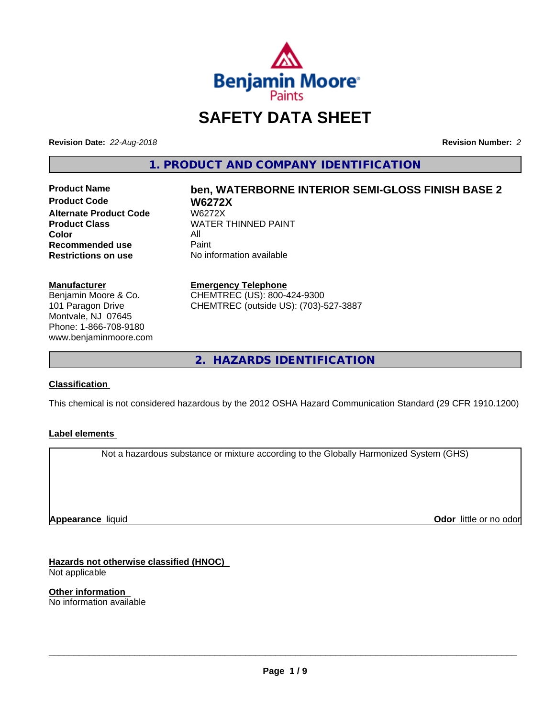

# **SAFETY DATA SHEET**

**Revision Date:** *22-Aug-2018* **Revision Number:** *2*

**1. PRODUCT AND COMPANY IDENTIFICATION**

**Product Code W6272X Alternate Product Code**<br>Product Class **Color** All<br> **Recommended use** Paint **Recommended use**<br>Restrictions on use

# **Product Name ben, WATERBORNE INTERIOR SEMI-GLOSS FINISH BASE 2 WATER THINNED PAINT**

**No information available** 

#### **Manufacturer**

Benjamin Moore & Co. 101 Paragon Drive Montvale, NJ 07645 Phone: 1-866-708-9180 www.benjaminmoore.com

#### **Emergency Telephone**

CHEMTREC (US): 800-424-9300 CHEMTREC (outside US): (703)-527-3887

**2. HAZARDS IDENTIFICATION**

#### **Classification**

This chemical is not considered hazardous by the 2012 OSHA Hazard Communication Standard (29 CFR 1910.1200)

#### **Label elements**

Not a hazardous substance or mixture according to the Globally Harmonized System (GHS)

**Appearance** liquid

**Odor** little or no odor

**Hazards not otherwise classified (HNOC)** Not applicable

**Other information** No information available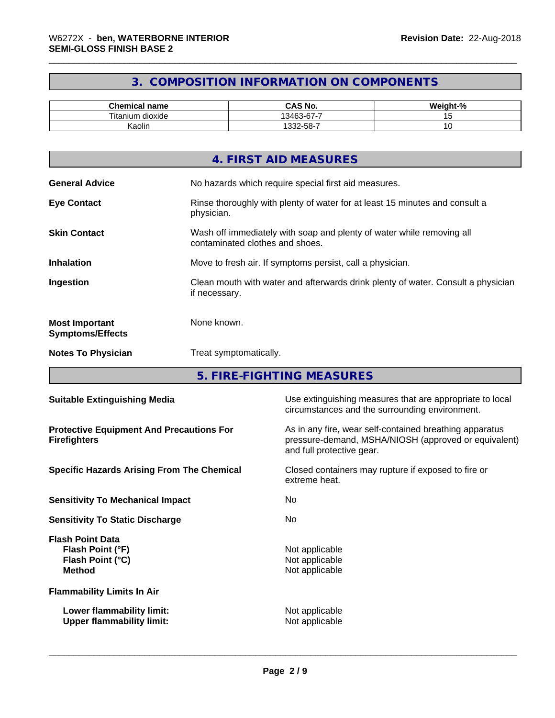# **3. COMPOSITION INFORMATION ON COMPONENTS**

| Chemical<br>name                         | $\sim$ 11<br>NO.<br>^ ^<br>und                                     | ---<br>$\sim$<br>יים<br>- 70 |
|------------------------------------------|--------------------------------------------------------------------|------------------------------|
| <b>Titani</b><br>$\sim$<br>um<br>dioxide | $\sim$<br>--<br>$\sqrt{2}$<br>$\overline{\phantom{0}}$<br>341<br>◡ |                              |
| .<br>Kaolin                              | -58-7ك                                                             | ~                            |

|                                                  | 4. FIRST AID MEASURES                                                                                    |
|--------------------------------------------------|----------------------------------------------------------------------------------------------------------|
| <b>General Advice</b>                            | No hazards which require special first aid measures.                                                     |
| <b>Eye Contact</b>                               | Rinse thoroughly with plenty of water for at least 15 minutes and consult a<br>physician.                |
| <b>Skin Contact</b>                              | Wash off immediately with soap and plenty of water while removing all<br>contaminated clothes and shoes. |
| <b>Inhalation</b>                                | Move to fresh air. If symptoms persist, call a physician.                                                |
| Ingestion                                        | Clean mouth with water and afterwards drink plenty of water. Consult a physician<br>if necessary.        |
| <b>Most Important</b><br><b>Symptoms/Effects</b> | None known.                                                                                              |
| <b>Notes To Physician</b>                        | Treat symptomatically.                                                                                   |
|                                                  |                                                                                                          |

**5. FIRE-FIGHTING MEASURES**

| <b>Suitable Extinguishing Media</b>                                              | Use extinguishing measures that are appropriate to local<br>circumstances and the surrounding environment.                                   |
|----------------------------------------------------------------------------------|----------------------------------------------------------------------------------------------------------------------------------------------|
| <b>Protective Equipment And Precautions For</b><br><b>Firefighters</b>           | As in any fire, wear self-contained breathing apparatus<br>pressure-demand, MSHA/NIOSH (approved or equivalent)<br>and full protective gear. |
| <b>Specific Hazards Arising From The Chemical</b>                                | Closed containers may rupture if exposed to fire or<br>extreme heat.                                                                         |
| <b>Sensitivity To Mechanical Impact</b>                                          | No.                                                                                                                                          |
| <b>Sensitivity To Static Discharge</b>                                           | No.                                                                                                                                          |
| <b>Flash Point Data</b><br>Flash Point (°F)<br>Flash Point (°C)<br><b>Method</b> | Not applicable<br>Not applicable<br>Not applicable                                                                                           |
| <b>Flammability Limits In Air</b>                                                |                                                                                                                                              |
| Lower flammability limit:<br><b>Upper flammability limit:</b>                    | Not applicable<br>Not applicable                                                                                                             |
|                                                                                  |                                                                                                                                              |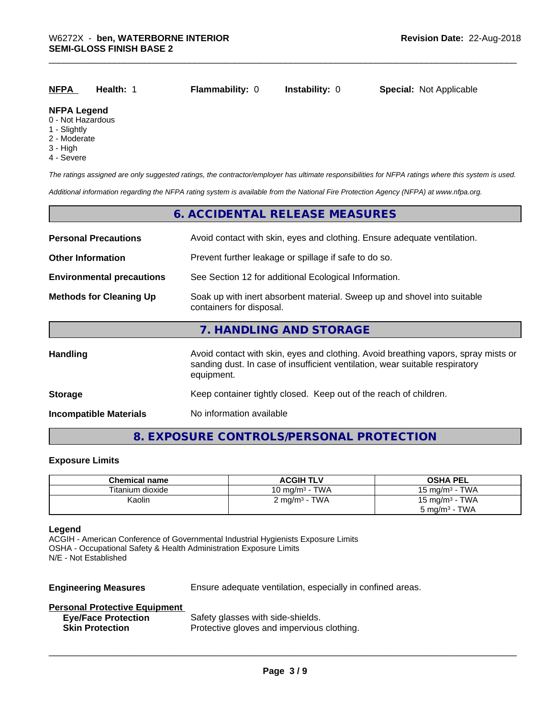|--|

#### **NFPA Legend**

- 0 Not Hazardous
- 1 Slightly
- 2 Moderate
- 3 High
- 4 Severe

*The ratings assigned are only suggested ratings, the contractor/employer has ultimate responsibilities for NFPA ratings where this system is used.*

*Additional information regarding the NFPA rating system is available from the National Fire Protection Agency (NFPA) at www.nfpa.org.*

#### **6. ACCIDENTAL RELEASE MEASURES**

| <b>Personal Precautions</b>      | Avoid contact with skin, eyes and clothing. Ensure adequate ventilation.                                                                                                         |
|----------------------------------|----------------------------------------------------------------------------------------------------------------------------------------------------------------------------------|
| <b>Other Information</b>         | Prevent further leakage or spillage if safe to do so.                                                                                                                            |
| <b>Environmental precautions</b> | See Section 12 for additional Ecological Information.                                                                                                                            |
| <b>Methods for Cleaning Up</b>   | Soak up with inert absorbent material. Sweep up and shovel into suitable<br>containers for disposal.                                                                             |
|                                  | 7. HANDLING AND STORAGE                                                                                                                                                          |
| Handling                         | Avoid contact with skin, eyes and clothing. Avoid breathing vapors, spray mists or<br>sanding dust. In case of insufficient ventilation, wear suitable respiratory<br>equipment. |
| <b>Storage</b>                   | Keep container tightly closed. Keep out of the reach of children.                                                                                                                |
| <b>Incompatible Materials</b>    | No information available                                                                                                                                                         |

#### **8. EXPOSURE CONTROLS/PERSONAL PROTECTION**

#### **Exposure Limits**

| <b>Chemical name</b> | <b>ACGIH TLV</b>         | <b>OSHA PEL</b>              |
|----------------------|--------------------------|------------------------------|
| Titanium dioxide     | 10 mg/m $3$ - TWA        | 15 mg/m $3$ - TWA            |
| Kaolin               | $2 \text{ mg/m}^3$ - TWA | 15 mg/m $3$ - TWA            |
|                      |                          | TWA<br>5 mg/m <sup>3</sup> - |

#### **Legend**

ACGIH - American Conference of Governmental Industrial Hygienists Exposure Limits OSHA - Occupational Safety & Health Administration Exposure Limits N/E - Not Established

**Engineering Measures** Ensure adequate ventilation, especially in confined areas.

 $\overline{\phantom{a}}$  ,  $\overline{\phantom{a}}$  ,  $\overline{\phantom{a}}$  ,  $\overline{\phantom{a}}$  ,  $\overline{\phantom{a}}$  ,  $\overline{\phantom{a}}$  ,  $\overline{\phantom{a}}$  ,  $\overline{\phantom{a}}$  ,  $\overline{\phantom{a}}$  ,  $\overline{\phantom{a}}$  ,  $\overline{\phantom{a}}$  ,  $\overline{\phantom{a}}$  ,  $\overline{\phantom{a}}$  ,  $\overline{\phantom{a}}$  ,  $\overline{\phantom{a}}$  ,  $\overline{\phantom{a}}$ 

#### **Personal Protective Equipment**

| <b>Eye/Face Protection</b> | Safety glasses with side-shields.          |
|----------------------------|--------------------------------------------|
| <b>Skin Protection</b>     | Protective gloves and impervious clothing. |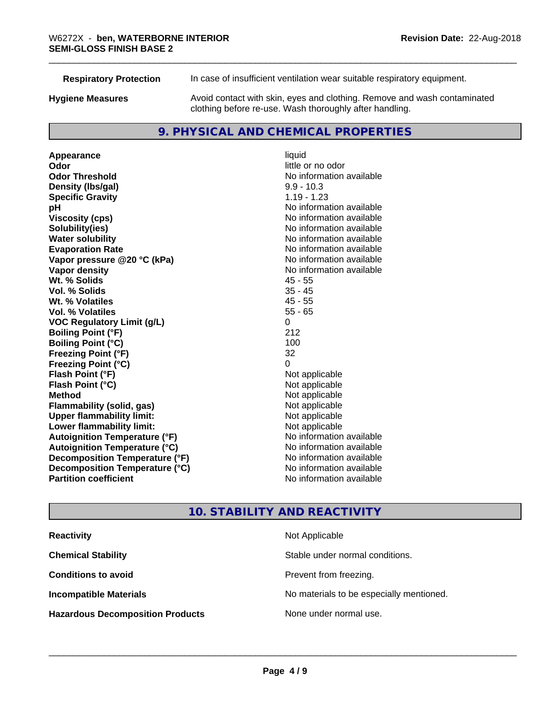| <b>Respiratory Protection</b> | In case of insufficient ventilation wear suitable respiratory equipment.                                                            |
|-------------------------------|-------------------------------------------------------------------------------------------------------------------------------------|
| <b>Hygiene Measures</b>       | Avoid contact with skin, eyes and clothing. Remove and wash contaminated<br>clothing before re-use. Wash thoroughly after handling. |
|                               |                                                                                                                                     |

## **9. PHYSICAL AND CHEMICAL PROPERTIES**

**Appearance** liquid **odor** liquid **odor** little c **Odor Odor** little or no odor<br> **Odor Threshold Containery of the Containery of the Containery of the Containery of the Containery of the Containery of the Containery of the Containery of the Containery of the Container Density (lbs/gal)** 9.9 - 10.3 **Specific Gravity** 1.19 - 1.23 **pH** No information available **Viscosity (cps)** No information available **Solubility(ies)**<br> **Solubility**<br> **Water solubility**<br> **Water solubility Evaporation Rate Conservation Rate** No information available<br> **Vapor pressure @20 °C (kPa)** No information available **Vapor** pressure @20 °C (kPa) **Vapor density No information available No** information available **Wt. % Solids** 45 - 55 **Vol. % Solids** 35 - 45 **Wt. % Volatiles Vol. % Volatiles** 55 - 65 **VOC Regulatory Limit (g/L)** 0 **Boiling Point (°F)** 212 **Boiling Point (°C)** 100 **Freezing Point (°F)** 32 **Freezing Point (°C)**<br> **Flash Point (°F)**<br> **Flash Point (°F)**<br> **Point (°F)**<br> **Point (°F)**<br> **Point (°F)**<br> **Point (°F) Flash Point (°F)**<br> **Flash Point (°C)**<br> **Flash Point (°C)**<br> **C Flash Point (°C) Method**<br> **Flammability (solid, gas)**<br> **Example 2018** Not applicable **Flammability (solid, gas)** Not applicable<br> **Upper flammability limit:** Not applicable **Upper flammability limit: Lower flammability limit:**<br> **Autoignition Temperature (°F)** Not applicable havailable available **Autoignition Temperature (°F) Autoignition Temperature (°C)** No information available **Decomposition Temperature (°F)** No information available **Decomposition Temperature (°C)** No information available **Partition coefficient Contract Contract Contract Contract Contract Contract Contract Contract Contract Contract Contract Contract Contract Contract Contract Contract Contract Contract Contract Contract Contract Contract** 

**No information available No information available** 

# **10. STABILITY AND REACTIVITY**

| <b>Reactivity</b>                       | Not Applicable                           |
|-----------------------------------------|------------------------------------------|
| <b>Chemical Stability</b>               | Stable under normal conditions.          |
| <b>Conditions to avoid</b>              | Prevent from freezing.                   |
| <b>Incompatible Materials</b>           | No materials to be especially mentioned. |
| <b>Hazardous Decomposition Products</b> | None under normal use.                   |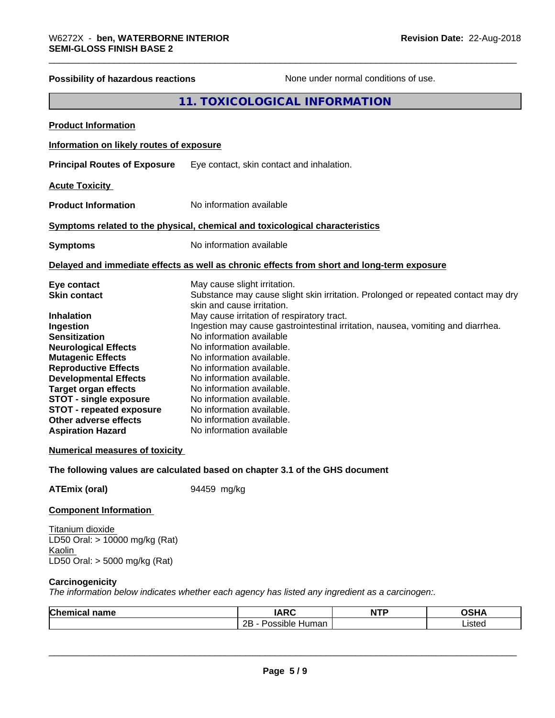| <b>Possibility of hazardous reactions</b>                                                                                                                                                                                                                                                                                                                                                                                                                                                               |             |                                                                                                                                                                                                                                                                                                                                                                                                                                                                                                                                                                                  | None under normal conditions of use. |             |
|---------------------------------------------------------------------------------------------------------------------------------------------------------------------------------------------------------------------------------------------------------------------------------------------------------------------------------------------------------------------------------------------------------------------------------------------------------------------------------------------------------|-------------|----------------------------------------------------------------------------------------------------------------------------------------------------------------------------------------------------------------------------------------------------------------------------------------------------------------------------------------------------------------------------------------------------------------------------------------------------------------------------------------------------------------------------------------------------------------------------------|--------------------------------------|-------------|
|                                                                                                                                                                                                                                                                                                                                                                                                                                                                                                         |             | 11. TOXICOLOGICAL INFORMATION                                                                                                                                                                                                                                                                                                                                                                                                                                                                                                                                                    |                                      |             |
| <b>Product Information</b>                                                                                                                                                                                                                                                                                                                                                                                                                                                                              |             |                                                                                                                                                                                                                                                                                                                                                                                                                                                                                                                                                                                  |                                      |             |
| Information on likely routes of exposure                                                                                                                                                                                                                                                                                                                                                                                                                                                                |             |                                                                                                                                                                                                                                                                                                                                                                                                                                                                                                                                                                                  |                                      |             |
| <b>Principal Routes of Exposure</b>                                                                                                                                                                                                                                                                                                                                                                                                                                                                     |             | Eye contact, skin contact and inhalation.                                                                                                                                                                                                                                                                                                                                                                                                                                                                                                                                        |                                      |             |
| <b>Acute Toxicity</b>                                                                                                                                                                                                                                                                                                                                                                                                                                                                                   |             |                                                                                                                                                                                                                                                                                                                                                                                                                                                                                                                                                                                  |                                      |             |
| <b>Product Information</b>                                                                                                                                                                                                                                                                                                                                                                                                                                                                              |             | No information available                                                                                                                                                                                                                                                                                                                                                                                                                                                                                                                                                         |                                      |             |
| Symptoms related to the physical, chemical and toxicological characteristics                                                                                                                                                                                                                                                                                                                                                                                                                            |             |                                                                                                                                                                                                                                                                                                                                                                                                                                                                                                                                                                                  |                                      |             |
| <b>Symptoms</b>                                                                                                                                                                                                                                                                                                                                                                                                                                                                                         |             | No information available                                                                                                                                                                                                                                                                                                                                                                                                                                                                                                                                                         |                                      |             |
| Delayed and immediate effects as well as chronic effects from short and long-term exposure                                                                                                                                                                                                                                                                                                                                                                                                              |             |                                                                                                                                                                                                                                                                                                                                                                                                                                                                                                                                                                                  |                                      |             |
| Eye contact<br><b>Skin contact</b><br><b>Inhalation</b><br>Ingestion<br><b>Sensitization</b><br><b>Neurological Effects</b><br><b>Mutagenic Effects</b><br><b>Reproductive Effects</b><br><b>Developmental Effects</b><br><b>Target organ effects</b><br><b>STOT - single exposure</b><br><b>STOT - repeated exposure</b><br>Other adverse effects<br><b>Aspiration Hazard</b><br><b>Numerical measures of toxicity</b><br>The following values are calculated based on chapter 3.1 of the GHS document |             | May cause slight irritation.<br>Substance may cause slight skin irritation. Prolonged or repeated contact may dry<br>skin and cause irritation.<br>May cause irritation of respiratory tract.<br>Ingestion may cause gastrointestinal irritation, nausea, vomiting and diarrhea.<br>No information available<br>No information available.<br>No information available.<br>No information available.<br>No information available.<br>No information available.<br>No information available.<br>No information available.<br>No information available.<br>No information available |                                      |             |
| <b>ATEmix (oral)</b>                                                                                                                                                                                                                                                                                                                                                                                                                                                                                    | 94459 mg/kg |                                                                                                                                                                                                                                                                                                                                                                                                                                                                                                                                                                                  |                                      |             |
| <b>Component Information</b>                                                                                                                                                                                                                                                                                                                                                                                                                                                                            |             |                                                                                                                                                                                                                                                                                                                                                                                                                                                                                                                                                                                  |                                      |             |
| Titanium dioxide<br>LD50 Oral: > 10000 mg/kg (Rat)<br>Kaolin<br>LD50 Oral: > 5000 mg/kg (Rat)<br>Carcinogenicity                                                                                                                                                                                                                                                                                                                                                                                        |             |                                                                                                                                                                                                                                                                                                                                                                                                                                                                                                                                                                                  |                                      |             |
| The information below indicates whether each agency has listed any ingredient as a carcinogen:.<br><b>Chemical name</b>                                                                                                                                                                                                                                                                                                                                                                                 |             | <b>IARC</b>                                                                                                                                                                                                                                                                                                                                                                                                                                                                                                                                                                      | <b>NTP</b>                           | <b>OSHA</b> |
|                                                                                                                                                                                                                                                                                                                                                                                                                                                                                                         |             | 2B - Possible Human                                                                                                                                                                                                                                                                                                                                                                                                                                                                                                                                                              |                                      | Listed      |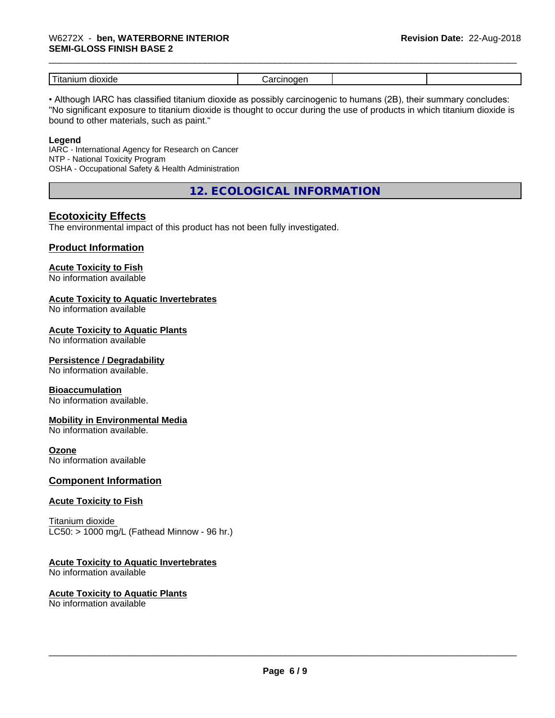# \_\_\_\_\_\_\_\_\_\_\_\_\_\_\_\_\_\_\_\_\_\_\_\_\_\_\_\_\_\_\_\_\_\_\_\_\_\_\_\_\_\_\_\_\_\_\_\_\_\_\_\_\_\_\_\_\_\_\_\_\_\_\_\_\_\_\_\_\_\_\_\_\_\_\_\_\_\_\_\_\_\_\_\_\_\_\_\_\_\_\_\_\_ W6272X - **ben, WATERBORNE INTERIOR SEMI-GLOSS FINISH BASE 2**

| dioxide<br>.<br>---<br>lta<br>mur | . .⊫ |
|-----------------------------------|------|

• Although IARC has classified titanium dioxide as possibly carcinogenic to humans (2B), their summary concludes: "No significant exposure to titanium dioxide is thought to occur during the use of products in which titanium dioxide is bound to other materials, such as paint."

#### **Legend**

IARC - International Agency for Research on Cancer NTP - National Toxicity Program OSHA - Occupational Safety & Health Administration

**12. ECOLOGICAL INFORMATION**

# **Ecotoxicity Effects**

The environmental impact of this product has not been fully investigated.

#### **Product Information**

# **Acute Toxicity to Fish**

No information available

#### **Acute Toxicity to Aquatic Invertebrates**

No information available

#### **Acute Toxicity to Aquatic Plants**

No information available

#### **Persistence / Degradability**

No information available.

#### **Bioaccumulation**

No information available.

#### **Mobility in Environmental Media**

No information available.

#### **Ozone**

No information available

#### **Component Information**

#### **Acute Toxicity to Fish**

Titanium dioxide  $LC50:$  > 1000 mg/L (Fathead Minnow - 96 hr.)

#### **Acute Toxicity to Aquatic Invertebrates**

No information available

# **Acute Toxicity to Aquatic Plants**

No information available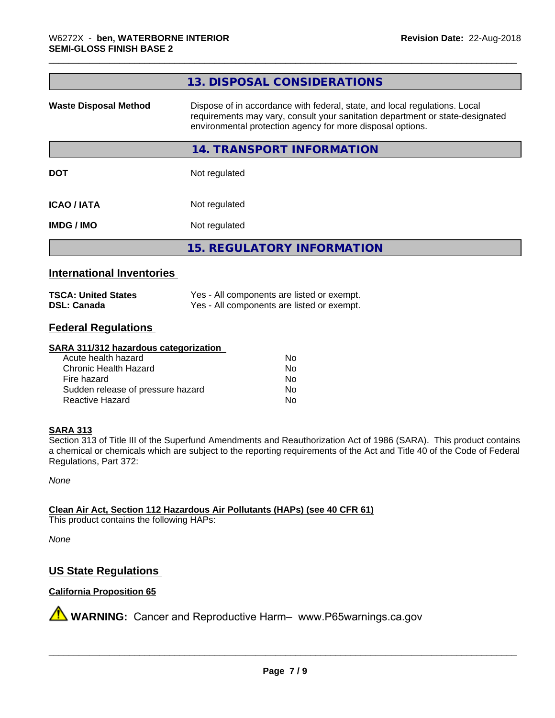|                              | 13. DISPOSAL CONSIDERATIONS                                                                                                                                                                                               |
|------------------------------|---------------------------------------------------------------------------------------------------------------------------------------------------------------------------------------------------------------------------|
| <b>Waste Disposal Method</b> | Dispose of in accordance with federal, state, and local regulations. Local<br>requirements may vary, consult your sanitation department or state-designated<br>environmental protection agency for more disposal options. |
|                              | 14. TRANSPORT INFORMATION                                                                                                                                                                                                 |
| <b>DOT</b>                   | Not regulated                                                                                                                                                                                                             |
| <b>ICAO/IATA</b>             | Not regulated                                                                                                                                                                                                             |
| <b>IMDG/IMO</b>              | Not regulated                                                                                                                                                                                                             |
|                              | <b>15. REGULATORY INFORMATION</b>                                                                                                                                                                                         |
|                              |                                                                                                                                                                                                                           |

# **International Inventories**

| <b>TSCA: United States</b> | Yes - All components are listed or exempt. |
|----------------------------|--------------------------------------------|
| <b>DSL: Canada</b>         | Yes - All components are listed or exempt. |

# **Federal Regulations**

#### **SARA 311/312 hazardous categorization**

| Acute health hazard               | Nο |
|-----------------------------------|----|
| Chronic Health Hazard             | N٥ |
| Fire hazard                       | N٥ |
| Sudden release of pressure hazard | N٥ |
| Reactive Hazard                   | Nο |

#### **SARA 313**

Section 313 of Title III of the Superfund Amendments and Reauthorization Act of 1986 (SARA). This product contains a chemical or chemicals which are subject to the reporting requirements of the Act and Title 40 of the Code of Federal Regulations, Part 372:

*None*

**Clean Air Act,Section 112 Hazardous Air Pollutants (HAPs) (see 40 CFR 61)**

This product contains the following HAPs:

*None*

# **US State Regulations**

## **California Proposition 65**

**A** WARNING: Cancer and Reproductive Harm– www.P65warnings.ca.gov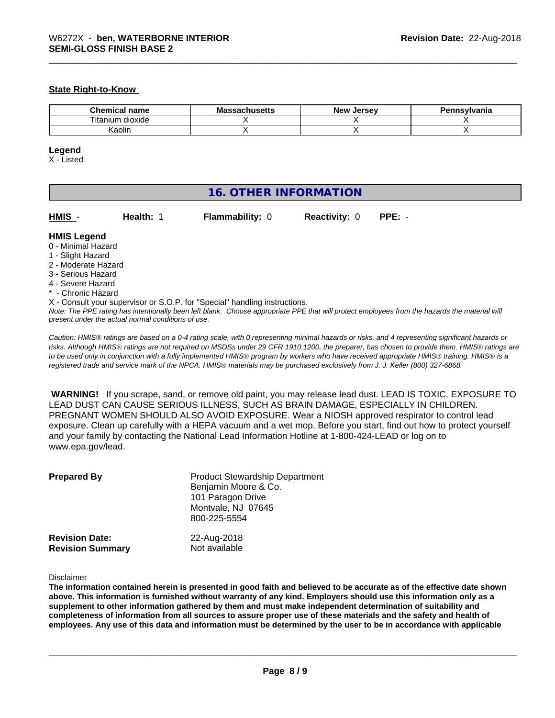#### **State Right-to-Know**

| $n_{max}$<br>. . ar<br>пане     | IVIC<br>nustus | loreov<br>Ne <sup>.</sup><br><br>135 | <u>Ivania </u> |
|---------------------------------|----------------|--------------------------------------|----------------|
| <b></b><br>dioxide<br>I itanium |                |                                      |                |
| Kaolin                          |                |                                      |                |

#### **Legend**

X - Listed

| <b>16. OTHER INFORMATION</b>                                                                                                                                                                                                                                                                                                                                                                                                               |                        |                      |          |  |  |  |
|--------------------------------------------------------------------------------------------------------------------------------------------------------------------------------------------------------------------------------------------------------------------------------------------------------------------------------------------------------------------------------------------------------------------------------------------|------------------------|----------------------|----------|--|--|--|
| HMIS -<br>Health: 1                                                                                                                                                                                                                                                                                                                                                                                                                        | <b>Flammability: 0</b> | <b>Reactivity: 0</b> | $PPE: -$ |  |  |  |
| <b>HMIS Legend</b><br>0 - Minimal Hazard<br>1 - Slight Hazard<br>2 - Moderate Hazard<br>3 - Serious Hazard<br>4 - Severe Hazard<br>* - Chronic Hazard<br>X - Consult your supervisor or S.O.P. for "Special" handling instructions.<br>Note: The PPE rating has intentionally been left blank. Choose appropriate PPE that will protect employees from the hazards the material will<br>present under the actual normal conditions of use. |                        |                      |          |  |  |  |

*Caution: HMISÒ ratings are based on a 0-4 rating scale, with 0 representing minimal hazards or risks, and 4 representing significant hazards or risks. Although HMISÒ ratings are not required on MSDSs under 29 CFR 1910.1200, the preparer, has chosen to provide them. HMISÒ ratings are to be used only in conjunction with a fully implemented HMISÒ program by workers who have received appropriate HMISÒ training. HMISÒ is a registered trade and service mark of the NPCA. HMISÒ materials may be purchased exclusively from J. J. Keller (800) 327-6868.*

 **WARNING!** If you scrape, sand, or remove old paint, you may release lead dust. LEAD IS TOXIC. EXPOSURE TO LEAD DUST CAN CAUSE SERIOUS ILLNESS, SUCH AS BRAIN DAMAGE, ESPECIALLY IN CHILDREN. PREGNANT WOMEN SHOULD ALSO AVOID EXPOSURE.Wear a NIOSH approved respirator to control lead exposure. Clean up carefully with a HEPA vacuum and a wet mop. Before you start, find out how to protect yourself and your family by contacting the National Lead Information Hotline at 1-800-424-LEAD or log on to www.epa.gov/lead.

| <b>Prepared By</b>      | <b>Product Stewardship Department</b><br>Benjamin Moore & Co.<br>101 Paragon Drive<br>Montvale, NJ 07645<br>800-225-5554 |
|-------------------------|--------------------------------------------------------------------------------------------------------------------------|
| <b>Revision Date:</b>   | 22-Aug-2018                                                                                                              |
| <b>Revision Summary</b> | Not available                                                                                                            |

#### Disclaimer

The information contained herein is presented in good faith and believed to be accurate as of the effective date shown above. This information is furnished without warranty of any kind. Employers should use this information only as a **supplement to other information gathered by them and must make independent determination of suitability and** completeness of information from all sources to assure proper use of these materials and the safety and health of employees. Any use of this data and information must be determined by the user to be in accordance with applicable